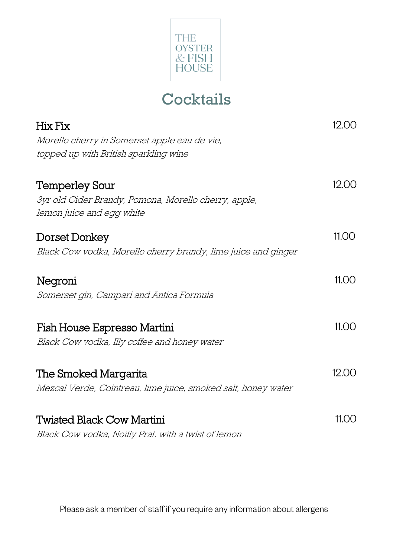

## **Cocktails**

| Hix Fix                                                                           | 12.00 |
|-----------------------------------------------------------------------------------|-------|
| Morello cherry in Somerset apple eau de vie,                                      |       |
| topped up with British sparkling wine                                             |       |
| <b>Temperley Sour</b>                                                             | 12.00 |
| 3yr old Cider Brandy, Pomona, Morello cherry, apple,<br>lemon juice and egg white |       |
| Dorset Donkey                                                                     | 11.00 |
| Black Cow vodka, Morello cherry brandy, lime juice and ginger                     |       |
| Negroni                                                                           | 11.00 |
| Somerset gin, Campari and Antica Formula                                          |       |
| Fish House Espresso Martini                                                       | 11.00 |
| Black Cow vodka, Illy coffee and honey water                                      |       |
| The Smoked Margarita                                                              | 12.00 |
| Mezcal Verde, Cointreau, lime juice, smoked salt, honey water                     |       |
| <b>Twisted Black Cow Martini</b>                                                  | 11.00 |
|                                                                                   |       |
| Black Cow vodka, Noilly Prat, with a twist of lemon                               |       |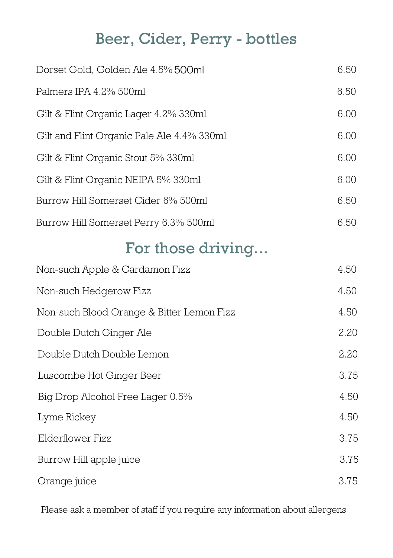## Beer, Cider, Perry - bottles

| 6.50 |
|------|
| 6.50 |
| 6.00 |
| 6.00 |
| 6.00 |
| 6.00 |
| 6.50 |
| 6.50 |
|      |
| 4.50 |
| 4.50 |
| 4.50 |
| 2.20 |
| 2.20 |
| 3.75 |
| 4.50 |
| 4.50 |
| 3.75 |
| 3.75 |
|      |

Orange juice 3.75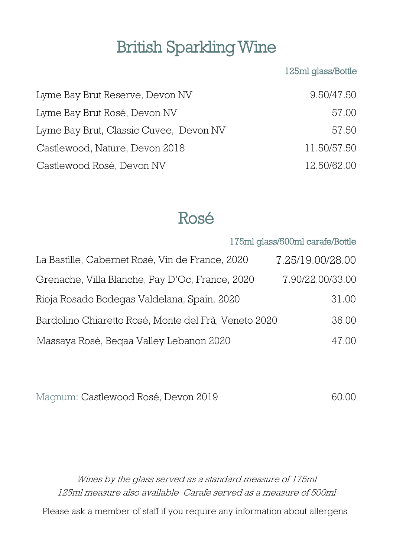# British Sparkling Wine

#### 125ml glass/Bottle

175ml glass/500ml carafe/Bottle

| Lyme Bay Brut Reserve, Devon NV        | 9.50/47.50  |
|----------------------------------------|-------------|
| Lyme Bay Brut Rosé, Devon NV           | 57.00       |
| Lyme Bay Brut, Classic Cuvee, Devon NV | 57.50       |
| Castlewood, Nature, Devon 2018         | 11.50/57.50 |
| Castlewood Rosé, Devon NV              | 12.50/62.00 |

## Rosé

| La Bastille, Cabernet Rosé, Vin de France, 2020      | 7.25/19.00/28.00 |
|------------------------------------------------------|------------------|
| Grenache, Villa Blanche, Pay D'Oc, France, 2020      | 7.90/22.00/33.00 |
| Rioja Rosado Bodegas Valdelana, Spain, 2020          | 31.00            |
| Bardolino Chiaretto Rosé, Monte del Frà, Veneto 2020 | 36.00            |
| Massaya Rosé, Beqaa Valley Lebanon 2020              | 47.00            |

| Magnum: Castlewood Rosé, Devon 2019 | 60.00 |
|-------------------------------------|-------|
|-------------------------------------|-------|

Wines by the glass served as a standard measure of 175ml 125ml measure also available Carafe served as a measure of 500ml Please ask a member of staff if you require any information about allergens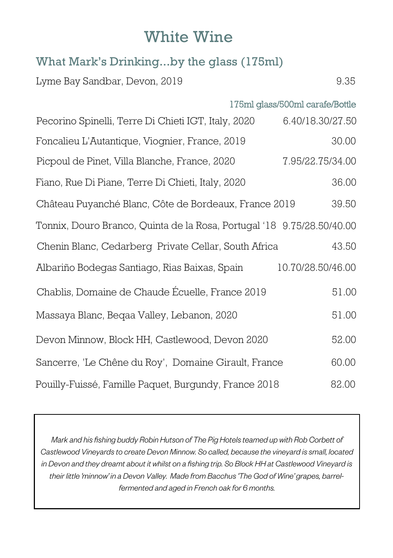### White Wine

### What Mark's Drinking...by the glass (175ml)

Lyme Bay Sandbar, Devon, 2019 9.35

|                                                                        | 175ml glass/500ml carafe/Bottle |
|------------------------------------------------------------------------|---------------------------------|
| Pecorino Spinelli, Terre Di Chieti IGT, Italy, 2020                    | 6.40/18.30/27.50                |
| Foncalieu L'Autantique, Viognier, France, 2019                         | 30.00                           |
| Picpoul de Pinet, Villa Blanche, France, 2020                          | 7.95/22.75/34.00                |
| Fiano, Rue Di Piane, Terre Di Chieti, Italy, 2020                      | 36.00                           |
| Château Puyanché Blanc, Côte de Bordeaux, France 2019                  | 39.50                           |
| Tonnix, Douro Branco, Quinta de la Rosa, Portugal '18 9.75/28.50/40.00 |                                 |
| Chenin Blanc, Cedarberg Private Cellar, South Africa                   | 43.50                           |
| Albariño Bodegas Santiago, Rias Baixas, Spain                          | 10.70/28.50/46.00               |
| Chablis, Domaine de Chaude Écuelle, France 2019                        | 51.00                           |
| Massaya Blanc, Beqaa Valley, Lebanon, 2020                             | 51.00                           |
| Devon Minnow, Block HH, Castlewood, Devon 2020                         | 52.00                           |
| Sancerre, 'Le Chêne du Roy', Domaine Girault, France                   | 60.00                           |
| Pouilly-Fuissé, Famille Paquet, Burgundy, France 2018                  | 82.00                           |

Mark and his fishing buddy Robin Hutson of The Pig Hotels teamed up with Rob Corbett of Castlewood Vineyards to create Devon Minnow. So called, because the vineyard is small, located in Devon and they dreamt about it whilst on a fishing trip. So Block HH at Castlewood Vineyard is their little 'minnow' in a Devon Valley. Made from Bacchus The God of Wine' grapes, barrelfermented and aged in French oak for 6 months.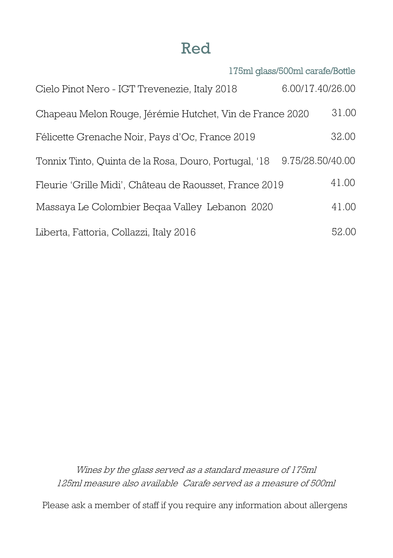### Red

|                                                          | 175ml glass/500ml carafe/Bottle |       |
|----------------------------------------------------------|---------------------------------|-------|
| Cielo Pinot Nero - IGT Trevenezie, Italy 2018            | 6.00/17.40/26.00                |       |
| Chapeau Melon Rouge, Jérémie Hutchet, Vin de France 2020 |                                 | 31.00 |
| Félicette Grenache Noir, Pays d'Oc, France 2019          |                                 | 32.00 |
| Tonnix Tinto, Quinta de la Rosa, Douro, Portugal, '18    | 9.75/28.50/40.00                |       |
| Fleurie 'Grille Midi', Château de Raousset, France 2019  |                                 | 41.00 |
| Massaya Le Colombier Beqaa Valley Lebanon 2020           |                                 | 41.00 |
| Liberta, Fattoria, Collazzi, Italy 2016                  |                                 | 52.00 |

Wines by the glass served as a standard measure of 175ml 125ml measure also available Carafe served as a measure of 500ml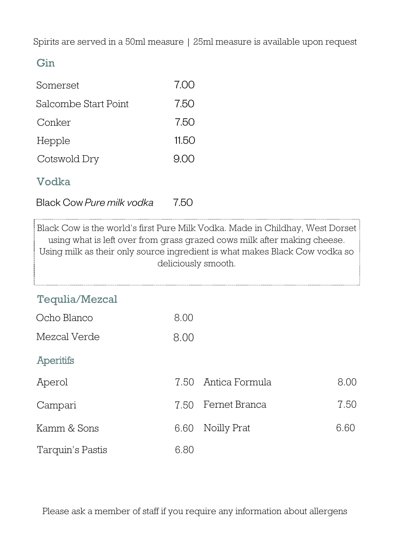Spirits are served in a 50ml measure | 25ml measure is available upon request

### Gin

| Somerset             | 7.00  |
|----------------------|-------|
| Salcombe Start Point | 7.50  |
| Conker               | 7.50  |
| Hepple               | 11.50 |
| Cotswold Dry         | 900   |

### Vodka

Black Cow Pure milk vodka 750

Black Cow is the world's first Pure Milk Vodka. Made in Childhay, West Dorset using what is left over from grass grazed cows milk after making cheese. Using milk as their only source ingredient is what makes Black Cow vodka so deliciously smooth.

### Tequlia/Mezcal

| Ocho Blanco  | 8.00 |
|--------------|------|
| Mezcal Verde | 8.00 |

#### **Aperitifs**

| Aperol           |      | 7.50 Antica Formula | 8.00 |
|------------------|------|---------------------|------|
| Campari          |      | 7.50 Fernet Branca  | 7.50 |
| Kamm & Sons      |      | 6.60 Noilly Prat    | 6.60 |
| Tarquin's Pastis | 6.80 |                     |      |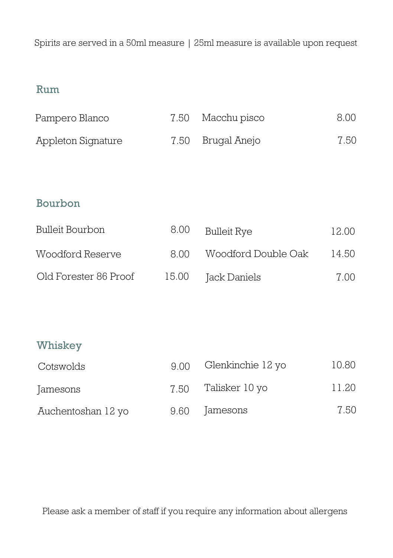Spirits are served in a 50ml measure | 25ml measure is available upon request

### Rum

| Pampero Blanco     | 7.50 Macchu pisco | 8.00 |
|--------------------|-------------------|------|
| Appleton Signature | 7.50 Brugal Anejo | 7.50 |

#### Bourbon

| Bulleit Bourbon       | 8.00  | Bulleit Rye         | 12.00 |
|-----------------------|-------|---------------------|-------|
| Woodford Reserve      | 8.OO  | Woodford Double Oak | 14.50 |
| Old Forester 86 Proof | 15.00 | Jack Daniels        | 7.00  |

#### Whiskey

| Cotswolds          | 9 N N | Glenkinchie 12 yo | 10.80 |
|--------------------|-------|-------------------|-------|
| Jamesons           | 7.50  | Talisker 10 yo    | 11.20 |
| Auchentoshan 12 yo | 9.60  | Jamesons          | 7.50  |